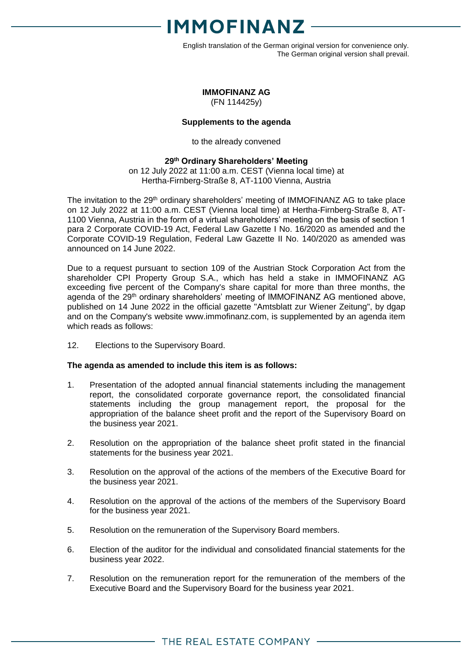

English translation of the German original version for convenience only. The German original version shall prevail.

### **IMMOFINANZ AG**

(FN 114425y)

### **Supplements to the agenda**

to the already convened

### **29 th Ordinary Shareholders' Meeting**

on 12 July 2022 at 11:00 a.m. CEST (Vienna local time) at Hertha-Firnberg-Straße 8, AT-1100 Vienna, Austria

The invitation to the 29<sup>th</sup> ordinary shareholders' meeting of IMMOFINANZ AG to take place on 12 July 2022 at 11:00 a.m. CEST (Vienna local time) at Hertha-Firnberg-Straße 8, AT-1100 Vienna, Austria in the form of a virtual shareholders' meeting on the basis of section 1 para 2 Corporate COVID-19 Act, Federal Law Gazette I No. 16/2020 as amended and the Corporate COVID-19 Regulation, Federal Law Gazette II No. 140/2020 as amended was announced on 14 June 2022.

Due to a request pursuant to section 109 of the Austrian Stock Corporation Act from the shareholder CPI Property Group S.A., which has held a stake in IMMOFINANZ AG exceeding five percent of the Company's share capital for more than three months, the agenda of the 29<sup>th</sup> ordinary shareholders' meeting of IMMOFINANZ AG mentioned above, published on 14 June 2022 in the official gazette "Amtsblatt zur Wiener Zeitung", by dgap and on the Company's website www.immofinanz.com, is supplemented by an agenda item which reads as follows:

12. Elections to the Supervisory Board.

### **The agenda as amended to include this item is as follows:**

- 1. Presentation of the adopted annual financial statements including the management report, the consolidated corporate governance report, the consolidated financial statements including the group management report, the proposal for the appropriation of the balance sheet profit and the report of the Supervisory Board on the business year 2021.
- 2. Resolution on the appropriation of the balance sheet profit stated in the financial statements for the business year 2021.
- 3. Resolution on the approval of the actions of the members of the Executive Board for the business year 2021.
- 4. Resolution on the approval of the actions of the members of the Supervisory Board for the business year 2021.
- 5. Resolution on the remuneration of the Supervisory Board members.
- 6. Election of the auditor for the individual and consolidated financial statements for the business year 2022.
- 7. Resolution on the remuneration report for the remuneration of the members of the Executive Board and the Supervisory Board for the business year 2021.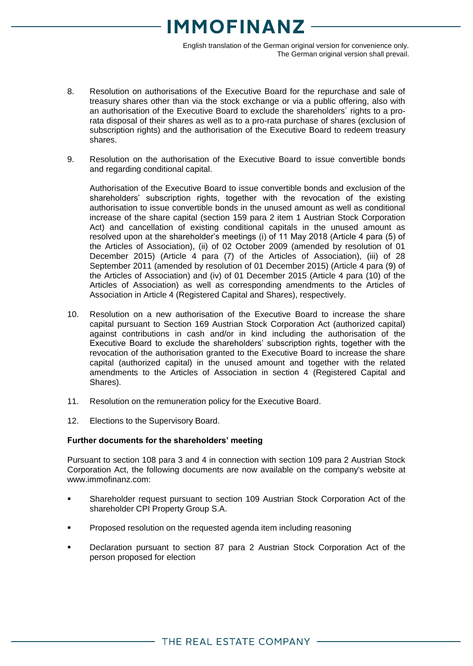# **1MOFINANZ**

English translation of the German original version for convenience only. The German original version shall prevail.

- 8. Resolution on authorisations of the Executive Board for the repurchase and sale of treasury shares other than via the stock exchange or via a public offering, also with an authorisation of the Executive Board to exclude the shareholders´ rights to a prorata disposal of their shares as well as to a pro-rata purchase of shares (exclusion of subscription rights) and the authorisation of the Executive Board to redeem treasury shares.
- 9. Resolution on the authorisation of the Executive Board to issue convertible bonds and regarding conditional capital.

Authorisation of the Executive Board to issue convertible bonds and exclusion of the shareholders' subscription rights, together with the revocation of the existing authorisation to issue convertible bonds in the unused amount as well as conditional increase of the share capital (section 159 para 2 item 1 Austrian Stock Corporation Act) and cancellation of existing conditional capitals in the unused amount as resolved upon at the shareholder's meetings (i) of 11 May 2018 (Article 4 para (5) of the Articles of Association), (ii) of 02 October 2009 (amended by resolution of 01 December 2015) (Article 4 para (7) of the Articles of Association), (iii) of 28 September 2011 (amended by resolution of 01 December 2015) (Article 4 para (9) of the Articles of Association) and (iv) of 01 December 2015 (Article 4 para (10) of the Articles of Association) as well as corresponding amendments to the Articles of Association in Article 4 (Registered Capital and Shares), respectively.

- 10. Resolution on a new authorisation of the Executive Board to increase the share capital pursuant to Section 169 Austrian Stock Corporation Act (authorized capital) against contributions in cash and/or in kind including the authorisation of the Executive Board to exclude the shareholders' subscription rights, together with the revocation of the authorisation granted to the Executive Board to increase the share capital (authorized capital) in the unused amount and together with the related amendments to the Articles of Association in section 4 (Registered Capital and Shares).
- 11. Resolution on the remuneration policy for the Executive Board.
- 12. Elections to the Supervisory Board.

### **Further documents for the shareholders' meeting**

Pursuant to section 108 para 3 and 4 in connection with section 109 para 2 Austrian Stock Corporation Act, the following documents are now available on the company's website at www.immofinanz.com:

- Shareholder request pursuant to section 109 Austrian Stock Corporation Act of the shareholder CPI Property Group S.A.
- Proposed resolution on the requested agenda item including reasoning
- Declaration pursuant to section 87 para 2 Austrian Stock Corporation Act of the person proposed for election